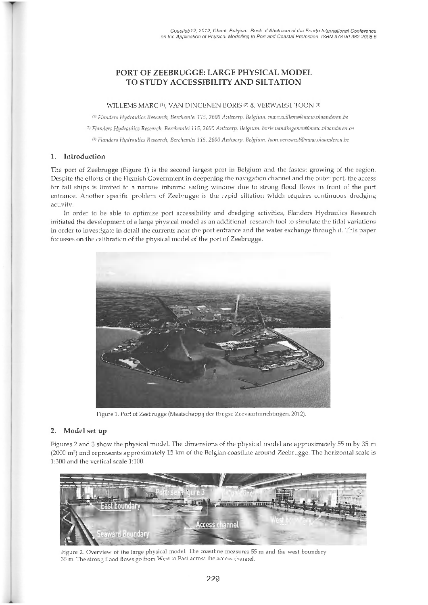# **PORT OF ZEEBRUGGE: LARGE PHYSICAL MODEL TO STUDY ACCESSIBILITY AND SILTATION**

#### WILLEMS MARC (1), VAN DINGENEN BORIS (2) & VERWAEST TOON (3)

*<'> Flanders Hydraulics Research, Berchemlei 115, 2600 A ntw erp, Belgium, [marc.willems@mow.vlaanderen.be](mailto:marc.willems@mow.vlaanderen.be)*

*<2> Flanders H ydraulics Research, Berchemlei 115, 2600 A ntw erp, Belgium, [boris.vandingenen@mow.vlaanderen.be](mailto:boris.vandingenen@mow.vlaanderen.be)*

<sup>(3)</sup> Flanders Hydraulics Research, Berchemlei 115, 2600 Antwerp, Belgium, loon.verwaest@mow.vlaanderen.be

## **1. Introduction**

The port of Zeebrugge (Figure 1) is the second largest port in Belgium and the fastest growing of the region. Despite the efforts of the Flemish Government in deepening the navigation channel and the outer port, the access for tall ships is limited to a narrow inbound sailing window due to strong flood flows in front of the port entrance. Another specific problem of Zeebrugge is the rapid siltation which requires continuous dredging activity.

In order to be able to optimize port accessibility and dredging activities, Flanders Hydraulics Research initiated the development of a large physical model as an additional research tool to simulate the tidal variations in order to investigate in detail the currents near the port entrance and the water exchange through it. This paper focusses on the calibration of the physical model of the port of Zeebrugge.



Figure 1. Port of Zeebrugge (Maatschappij der Brugse Zeevaartinrichtingen, 2012).

## **2. Model set up**

Figures 2 and 3 show the physical model. The dimensions of the physical model are approximately 55 m by 35 m  $(2000 \text{ m}^2)$  and represents approximately 15 km of the Belgian coastline around Zeebrugge. The horizontal scale is 1:300 and the vertical scale 1:100.



Figure 2. Overview of the large physical model. The coastline measures 55 m and the west boundary 35 m. The strong flood flows go from West to East across the access channel.